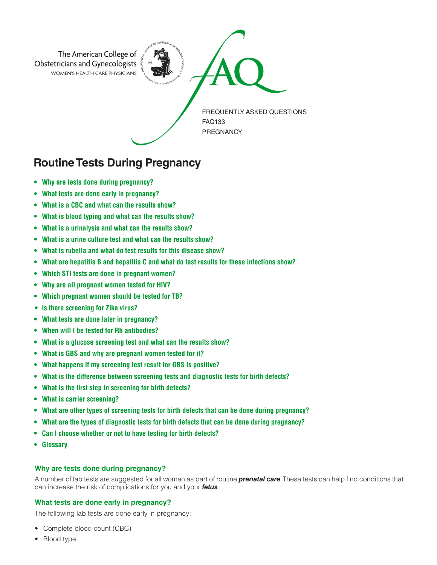

# **Routine Tests During Pregnancy**

- **• Why are tests done during pregnancy?**
- **What tests are done early in pregnancy?**
- **What is a CBC and what can the results show?**
- **What is blood typing and what can the results show?**
- **What is a urinalysis and what can the results show?**
- **What is a urine culture test and what can the results show?**
- **What is rubella and what do test results for this disease show?**
- **What are hepatitis B and hepatitis C and what do test results for these infections show?**
- **Which STI tests are done in pregnant women?**
- **Why are all pregnant women tested for HIV?**
- **Which pregnant women should be tested for TB?**
- **• Is there screening for Zika virus?**
- **What tests are done later in pregnancy?**
- **When will I be tested for Rh antibodies?**
- **What is a glucose screening test and what can the results show?**
- **What is GBS and why are pregnant women tested for it?**
- **What happens if my screening test result for GBS is positive?**
- **What is the difference between screening tests and diagnostic tests for birth defects?**
- **What is the first step in screening for birth defects?**
- **What is carrier screening?**
- **What are other types of screening tests for birth defects that can be done during pregnancy?**
- **What are the types of diagnostic tests for birth defects that can be done during pregnancy?**
- **Can I choose whether or not to have testing for birth defects?**
- **Glossary**

## **Why are tests done during pregnancy?**

A number of lab tests are suggested for all women as part of routine *prenatal care*. These tests can help find conditions that can increase the risk of complications for you and your *fetus*.

# **What tests are done early in pregnancy?**

The following lab tests are done early in pregnancy:

- Complete blood count (CBC)
- Blood type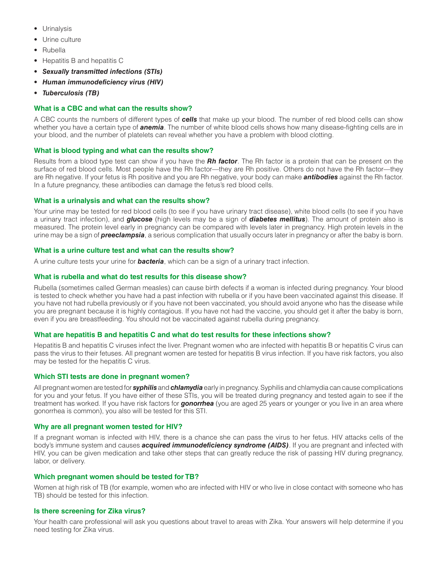- Urinalysis
- Urine culture
- Rubella
- Hepatitis B and hepatitis C
- *Sexually transmitted infections (STIs)*
- *Human immunodeficiency virus (HIV)*
- *Tuberculosis (TB)*

# **What is a CBC and what can the results show?**

A CBC counts the numbers of different types of *cells* that make up your blood. The number of red blood cells can show whether you have a certain type of *anemia*. The number of white blood cells shows how many disease-fighting cells are in your blood, and the number of platelets can reveal whether you have a problem with blood clotting.

## **What is blood typing and what can the results show?**

Results from a blood type test can show if you have the *Rh factor*. The Rh factor is a protein that can be present on the surface of red blood cells. Most people have the Rh factor—they are Rh positive. Others do not have the Rh factor—they are Rh negative. If your fetus is Rh positive and you are Rh negative, your body can make *antibodies* against the Rh factor. In a future pregnancy, these antibodies can damage the fetus's red blood cells.

## **What is a urinalysis and what can the results show?**

Your urine may be tested for red blood cells (to see if you have urinary tract disease), white blood cells (to see if you have a urinary tract infection), and *glucose* (high levels may be a sign of *diabetes mellitus*). The amount of protein also is measured. The protein level early in pregnancy can be compared with levels later in pregnancy. High protein levels in the urine may be a sign of *preeclampsia*, a serious complication that usually occurs later in pregnancy or after the baby is born.

## **What is a urine culture test and what can the results show?**

A urine culture tests your urine for *bacteria*, which can be a sign of a urinary tract infection.

## **What is rubella and what do test results for this disease show?**

Rubella (sometimes called German measles) can cause birth defects if a woman is infected during pregnancy. Your blood is tested to check whether you have had a past infection with rubella or if you have been vaccinated against this disease. If you have not had rubella previously or if you have not been vaccinated, you should avoid anyone who has the disease while you are pregnant because it is highly contagious. If you have not had the vaccine, you should get it after the baby is born, even if you are breastfeeding. You should not be vaccinated against rubella during pregnancy.

## **What are hepatitis B and hepatitis C and what do test results for these infections show?**

Hepatitis B and hepatitis C viruses infect the liver. Pregnant women who are infected with hepatitis B or hepatitis C virus can pass the virus to their fetuses. All pregnant women are tested for hepatitis B virus infection. If you have risk factors, you also may be tested for the hepatitis C virus.

## **Which STI tests are done in pregnant women?**

All pregnant women are tested for *syphilis* and *chlamydia* early in pregnancy. Syphilis and chlamydia can cause complications for you and your fetus. If you have either of these STIs, you will be treated during pregnancy and tested again to see if the treatment has worked. If you have risk factors for *gonorrhea* (you are aged 25 years or younger or you live in an area where gonorrhea is common), you also will be tested for this STI.

## **Why are all pregnant women tested for HIV?**

If a pregnant woman is infected with HIV, there is a chance she can pass the virus to her fetus. HIV attacks cells of the body's immune system and causes *acquired immunodeficiency syndrome (AIDS)*. If you are pregnant and infected with HIV, you can be given medication and take other steps that can greatly reduce the risk of passing HIV during pregnancy, labor, or delivery.

## **Which pregnant women should be tested for TB?**

Women at high risk of TB (for example, women who are infected with HIV or who live in close contact with someone who has TB) should be tested for this infection.

## **Is there screening for Zika virus?**

Your health care professional will ask you questions about travel to areas with Zika. Your answers will help determine if you need testing for Zika virus.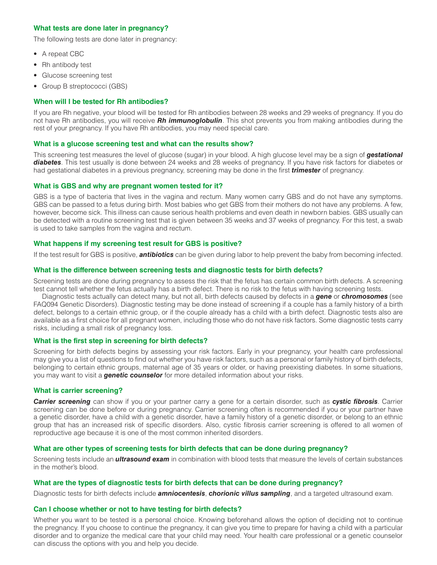## **What tests are done later in pregnancy?**

The following tests are done later in pregnancy:

- A repeat CBC
- Rh antibody test
- Glucose screening test
- Group B streptococci (GBS)

### **When will I be tested for Rh antibodies?**

If you are Rh negative, your blood will be tested for Rh antibodies between 28 weeks and 29 weeks of pregnancy. If you do not have Rh antibodies, you will receive *Rh immunoglobulin*. This shot prevents you from making antibodies during the rest of your pregnancy. If you have Rh antibodies, you may need special care.

#### **What is a glucose screening test and what can the results show?**

This screening test measures the level of glucose (sugar) in your blood. A high glucose level may be a sign of *gestational diabetes*. This test usually is done between 24 weeks and 28 weeks of pregnancy. If you have risk factors for diabetes or had gestational diabetes in a previous pregnancy, screening may be done in the first *trimester* of pregnancy.

#### **What is GBS and why are pregnant women tested for it?**

GBS is a type of bacteria that lives in the vagina and rectum. Many women carry GBS and do not have any symptoms. GBS can be passed to a fetus during birth. Most babies who get GBS from their mothers do not have any problems. A few, however, become sick. This illness can cause serious health problems and even death in newborn babies. GBS usually can be detected with a routine screening test that is given between 35 weeks and 37 weeks of pregnancy. For this test, a swab is used to take samples from the vagina and rectum.

## **What happens if my screening test result for GBS is positive?**

If the test result for GBS is positive, *antibiotics* can be given during labor to help prevent the baby from becoming infected.

#### **What is the difference between screening tests and diagnostic tests for birth defects?**

Screening tests are done during pregnancy to assess the risk that the fetus has certain common birth defects. A screening test cannot tell whether the fetus actually has a birth defect. There is no risk to the fetus with having screening tests.

Diagnostic tests actually can detect many, but not all, birth defects caused by defects in a *gene* or *chromosomes* (see FAQ094 Genetic Disorders). Diagnostic testing may be done instead of screening if a couple has a family history of a birth defect, belongs to a certain ethnic group, or if the couple already has a child with a birth defect. Diagnostic tests also are available as a first choice for all pregnant women, including those who do not have risk factors. Some diagnostic tests carry risks, including a small risk of pregnancy loss.

#### **What is the first step in screening for birth defects?**

Screening for birth defects begins by assessing your risk factors. Early in your pregnancy, your health care professional may give you a list of questions to find out whether you have risk factors, such as a personal or family history of birth defects, belonging to certain ethnic groups, maternal age of 35 years or older, or having preexisting diabetes. In some situations, you may want to visit a *genetic counselor* for more detailed information about your risks.

#### **What is carrier screening?**

*Carrier screening* can show if you or your partner carry a gene for a certain disorder, such as *cystic fibrosis*. Carrier screening can be done before or during pregnancy. Carrier screening often is recommended if you or your partner have a genetic disorder, have a child with a genetic disorder, have a family history of a genetic disorder, or belong to an ethnic group that has an increased risk of specific disorders. Also, cystic fibrosis carrier screening is offered to all women of reproductive age because it is one of the most common inherited disorders.

## **What are other types of screening tests for birth defects that can be done during pregnancy?**

Screening tests include an *ultrasound exam* in combination with blood tests that measure the levels of certain substances in the mother's blood.

## **What are the types of diagnostic tests for birth defects that can be done during pregnancy?**

Diagnostic tests for birth defects include *amniocentesis*, *chorionic villus sampling*, and a targeted ultrasound exam.

#### **Can I choose whether or not to have testing for birth defects?**

Whether you want to be tested is a personal choice. Knowing beforehand allows the option of deciding not to continue the pregnancy. If you choose to continue the pregnancy, it can give you time to prepare for having a child with a particular disorder and to organize the medical care that your child may need. Your health care professional or a genetic counselor can discuss the options with you and help you decide.